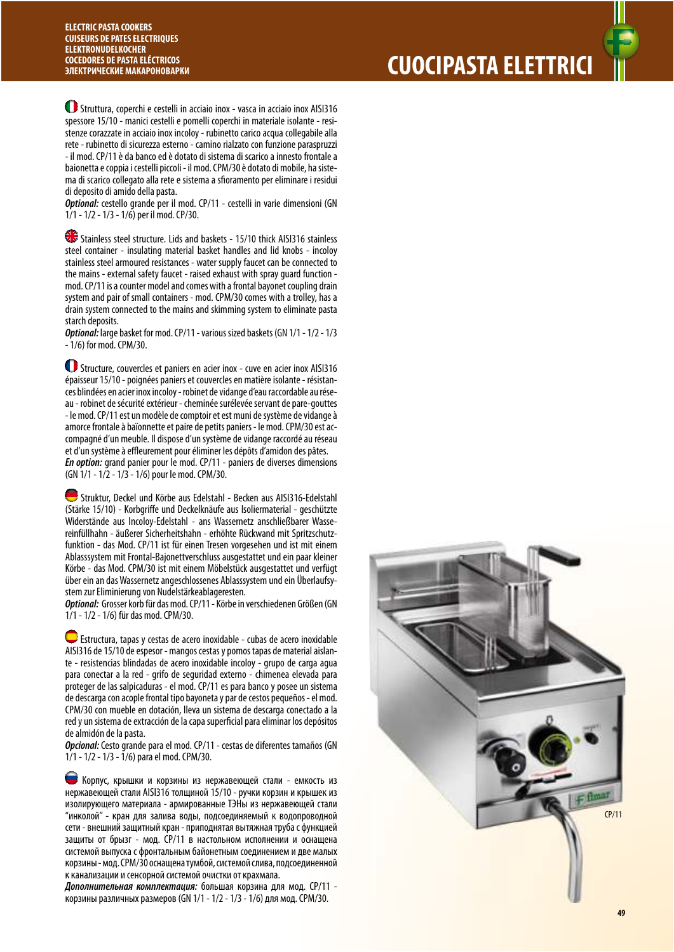Struttura, coperchi e cestelli in acciaio inox - vasca in acciaio inox AISI316 spessore 15/10 - manici cestelli e pomelli coperchi in materiale isolante - resistenze corazzate in acciaio inox incoloy - rubinetto carico acqua collegabile alla rete - rubinetto di sicurezza esterno - camino rialzato con funzione paraspruzzi - il mod. CP/11 è da banco ed è dotato di sistema di scarico a innesto frontale a baionetta e coppia i cestelli piccoli - il mod. CPM/30 è dotato di mobile, ha sistema di scarico collegato alla rete e sistema a sfioramento per eliminare i residui di deposito di amido della pasta.

**Optional:** cestello grande per il mod. CP/11 - cestelli in varie dimensioni (GN 1/1 - 1/2 - 1/3 - 1/6) per il mod. CP/30.

Stainless steel structure. Lids and baskets - 15/10 thick AISI316 stainless steel container - insulating material basket handles and lid knobs - incoloy stainless steel armoured resistances - water supply faucet can be connected to the mains - external safety faucet - raised exhaust with spray guard function mod. CP/11 is a counter model and comes with a frontal bayonet coupling drain system and pair of small containers - mod. CPM/30 comes with a trolley, has a drain system connected to the mains and skimming system to eliminate pasta starch deposits.

**Optional:** large basket for mod. CP/11 - various sized baskets (GN 1/1 - 1/2 - 1/3 - 1/6) for mod. CPM/30.

 Structure, couvercles et paniers en acier inox - cuve en acier inox AISI316 épaisseur 15/10 - poignées paniers et couvercles en matière isolante - résistances blindées en acier inox incoloy - robinet de vidange d'eau raccordable au réseau - robinet de sécurité extérieur - cheminée surélevée servant de pare-gouttes - le mod. CP/11 est un modèle de comptoir et est muni de système de vidange à amorce frontale à baïonnette et paire de petits paniers - le mod. CPM/30 est accompagné d'un meuble. Il dispose d'un système de vidange raccordé au réseau et d'un système à effleurement pour éliminer les dépôts d'amidon des pâtes. **En option:** grand panier pour le mod. CP/11 - paniers de diverses dimensions (GN 1/1 - 1/2 - 1/3 - 1/6) pour le mod. CPM/30.

 Struktur, Deckel und Körbe aus Edelstahl - Becken aus AISI316-Edelstahl (Stärke 15/10) - Korbgriffe und Deckelknäufe aus Isoliermaterial - geschützte Widerstände aus Incoloy-Edelstahl - ans Wassernetz anschließbarer Wassereinfüllhahn - äußerer Sicherheitshahn - erhöhte Rückwand mit Spritzschutzfunktion - das Mod. CP/11 ist für einen Tresen vorgesehen und ist mit einem Ablasssystem mit Frontal-Bajonettverschluss ausgestattet und ein paar kleiner Körbe - das Mod. CPM/30 ist mit einem Möbelstück ausgestattet und verfügt über ein an das Wassernetz angeschlossenes Ablasssystem und ein Überlaufsystem zur Eliminierung von Nudelstärkeablageresten.

**Optional:** Grosser korb für das mod. CP/11 - Körbe in verschiedenen Größen (GN 1/1 - 1/2 - 1/6) für das mod. CPM/30.

 Estructura, tapas y cestas de acero inoxidable - cubas de acero inoxidable AISI316 de 15/10 de espesor - mangos cestas y pomos tapas de material aislante - resistencias blindadas de acero inoxidable incoloy - grupo de carga agua para conectar a la red - grifo de seguridad externo - chimenea elevada para proteger de las salpicaduras - el mod. CP/11 es para banco y posee un sistema de descarga con acople frontal tipo bayoneta y par de cestos pequeños - el mod. CPM/30 con mueble en dotación, lleva un sistema de descarga conectado a la red y un sistema de extracción de la capa superficial para eliminar los depósitos de almidón de la pasta.

**Opcional:** Cesto grande para el mod. CP/11 - cestas de diferentes tamaños (GN 1/1 - 1/2 - 1/3 - 1/6) para el mod. CPM/30.

 Корпус, крышки и корзины из нержавеющей стали - емкость из нержавеющей стали AISI316 толщиной 15/10 - ручки корзин и крышек из изолирующего материала - армированные ТЭНы из нержавеющей стали "инколой" - кран для залива воды, подсоединяемый к водопроводной сети - внешний защитный кран - приподнятая вытяжная труба с функцией защиты от брызг - мод. CP/11 в настольном исполнении и оснащена системой выпуска с фронтальным байонетным соединением и две малых корзины - мод. CPM/30 оснащена тумбой, системой слива, подсоединенной к канализации и сенсорной системой очистки от крахмала.

**Дополнительная комплектация:** большая корзина для мод. CP/11 корзины различных размеров (GN 1/1 - 1/2 - 1/3 - 1/6) для мод. CPM/30.

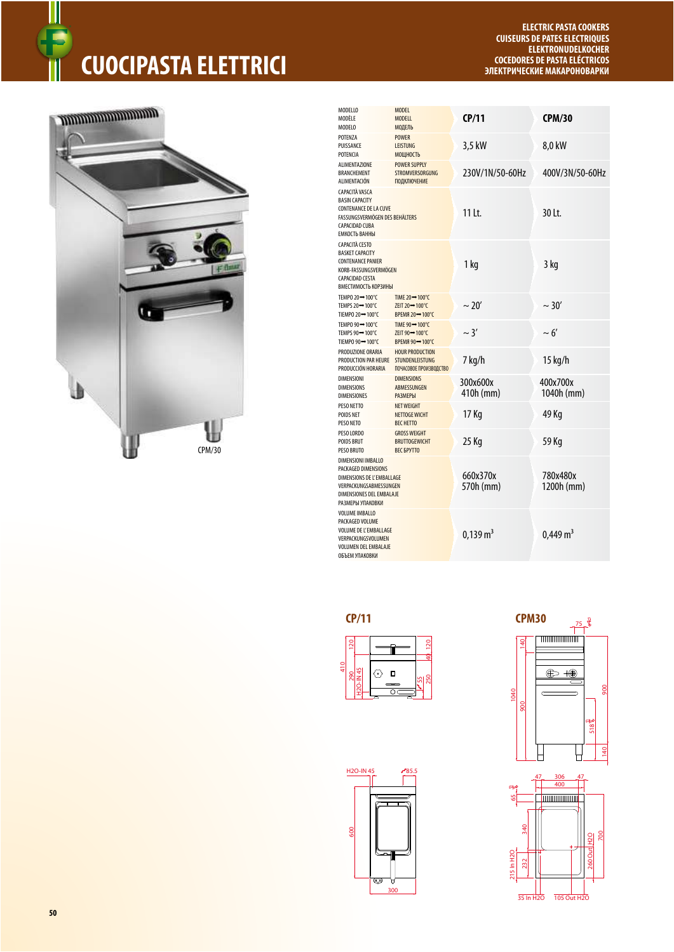# **CUOCIPASTA ELETTRICI**

### *<u>ANDROITECTURE OF THE WAY OF THE WAY OF THE WAY OF THE WAY OF THE WAY OF THE WAY OF THE WAY OF THE WAY OF THE WAY OF THE WAY OF THE WAY OF THE WAY OF THE WAY OF THE WAY OF THE WAY OF THE WAY OF THE WAY OF THE WAY OF THE* </u>



| MODELLO<br>MODÈI F<br>MODELO                                                                                                                          | <b>MODEL</b><br><b>MODELL</b><br><b>МОДЕЛЬ</b>                             | CP/11                 | <b>CPM/30</b>          |
|-------------------------------------------------------------------------------------------------------------------------------------------------------|----------------------------------------------------------------------------|-----------------------|------------------------|
| POTFN7A<br>PUISSANCE<br>POTENCIA                                                                                                                      | <b>POWER</b><br><b>LEISTUNG</b><br>МОЩНОСТЬ                                | 3.5 kW                | 8,0 kW                 |
| <b>ALIMENTAZIONE</b><br><b>BRANCHEMENT</b><br>ALIMENTACIÓN                                                                                            | <b>POWER SUPPLY</b><br><b>STROMVERSORGUNG</b><br><b>ПОДКЛЮЧЕНИЕ</b>        | 230V/1N/50-60Hz       | 400V/3N/50-60Hz        |
| CAPACITÀ VASCA<br><b>BASIN CAPACITY</b><br><b>CONTENANCE DE LA CUVE</b><br>FASSUNGSVERMÖGEN DES BEHÄLTERS<br>CAPACIDAD CUBA<br>ЕМКОСТЬ ВАННЫ          |                                                                            | 11 Lt.                | $30$ It.               |
| <b>CAPACITÀ CESTO</b><br><b>BASKET CAPACITY</b><br><b>CONTENANCE PANIER</b><br>KORB-FASSUNGSVERMÖGEN<br><b>CAPACIDAD CESTA</b><br>ВМЕСТИМОСТЬ КОРЗИНЫ |                                                                            | 1 kg                  | 3 kg                   |
| TEMPO 20→100°C<br>TEMPS 20 - 100°C<br>TIEMPO 20→100°C                                                                                                 | TIME 20→100°C<br>ZEIT 20 - 100°C<br>BPEMA 20→100°C                         | $\sim$ 20'            | $\sim$ 30'             |
| TEMPO 90→100°C<br>TEMPS 90 - 100°C<br>TIEMPO 90→100°C                                                                                                 | TIME 90→100°C<br>ZEIT 90 - 100°C<br><b>BPEMЯ 90→100°С</b>                  | $\sim$ 3'             | $\sim 6'$              |
| PRODUZIONE ORARIA<br>PRODUCTION PAR HEURE<br>PRODUCCIÓN HORARIA                                                                                       | <b>HOUR PRODUCTION</b><br><b>STUNDENLEISTUNG</b><br>ПОЧАСОВОЕ ПРОИЗВОДСТВО | 7 kg/h                | 15 kg/h                |
| <b>DIMENSIONI</b><br><b>DIMENSIONS</b><br><b>DIMENSIONES</b>                                                                                          | <b>DIMENSIONS</b><br>ABMESSUNGEN<br><b>РАЗМЕРЫ</b>                         | 300x600x<br>410h (mm) | 400x700x<br>1040h (mm) |
| PESO NETTO<br><b>POIDS NET</b><br>PESO NETO                                                                                                           | <b>NET WEIGHT</b><br><b>NETTOGE WICHT</b><br><b>BFC HETTO</b>              | 17 Kg                 | 49 Kg                  |
| PESO LORDO<br><b>POIDS BRUT</b><br><b>PESO BRUTO</b>                                                                                                  | <b>GROSS WEIGHT</b><br><b>BRUTTOGEWICHT</b><br><b>BEC БРУТТО</b>           | 25 Kg                 | 59 Kg                  |
| DIMENSIONI IMBALLO<br>PACKAGED DIMENSIONS<br>DIMENSIONS DE L'EMBALLAGE<br>VERPACKUNGSABMESSUNGEN<br>DIMENSIONES DEL EMBALAJE<br>РАЗМЕРЫ УПАКОВКИ      |                                                                            | 660x370x<br>570h (mm) | 780x480x<br>1200h (mm) |
| <b>VOLUME IMBALLO</b><br>PACKAGED VOLUME<br><b>VOLUME DE L'EMBALLAGE</b><br>VERPACKUNGSVOLUMEN<br><b>VOLUMEN DEL EMBALAJE</b><br>ОБЪЕМ УПАКОВКИ       |                                                                            | $0,139 \text{ m}^3$   | $0,449 \text{ m}^3$    |

#### $CP/11$

H<sub>2O</sub>-IN<sub>45</sub>

600

**TCX**  $\sim$